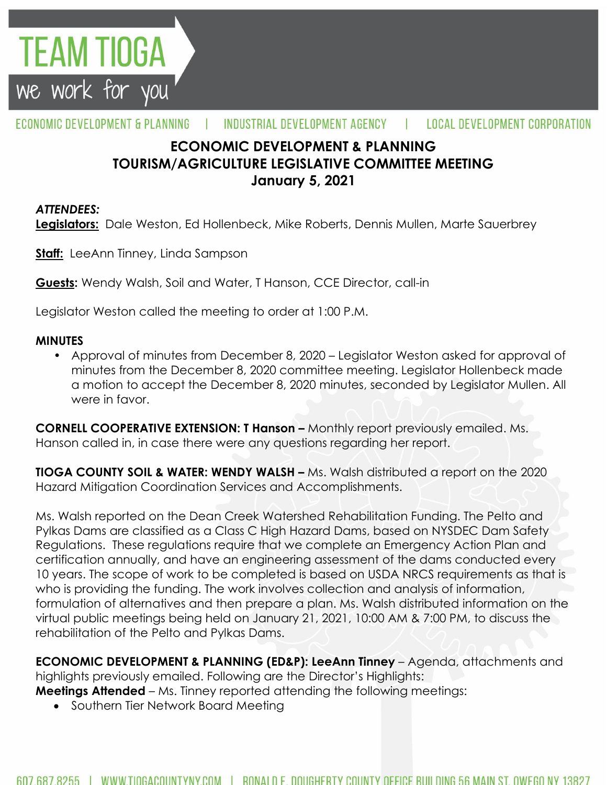

#### ECONOMIC DEVELOPMENT & PLANNING INDUSTRIAL DEVELOPMENT AGENCY LOCAL DEVELOPMENT CORPORATION

# **ECONOMIC DEVELOPMENT & PLANNING TOURISM/AGRICULTURE LEGISLATIVE COMMITTEE MEETING January 5, 2021**

### *ATTENDEES:*

**Legislators:** Dale Weston, Ed Hollenbeck, Mike Roberts, Dennis Mullen, Marte Sauerbrey

**Staff:** LeeAnn Tinney, Linda Sampson

**Guests:** Wendy Walsh, Soil and Water, T Hanson, CCE Director, call-in

Legislator Weston called the meeting to order at 1:00 P.M.

#### **MINUTES**

• Approval of minutes from December 8, 2020 – Legislator Weston asked for approval of minutes from the December 8, 2020 committee meeting. Legislator Hollenbeck made a motion to accept the December 8, 2020 minutes, seconded by Legislator Mullen. All were in favor.

**CORNELL COOPERATIVE EXTENSION: T Hanson –** Monthly report previously emailed. Ms. Hanson called in, in case there were any questions regarding her report.

**TIOGA COUNTY SOIL & WATER: WENDY WALSH –** Ms. Walsh distributed a report on the 2020 Hazard Mitigation Coordination Services and Accomplishments.

Ms. Walsh reported on the Dean Creek Watershed Rehabilitation Funding. The Pelto and Pylkas Dams are classified as a Class C High Hazard Dams, based on NYSDEC Dam Safety Regulations. These regulations require that we complete an Emergency Action Plan and certification annually, and have an engineering assessment of the dams conducted every 10 years. The scope of work to be completed is based on USDA NRCS requirements as that is who is providing the funding. The work involves collection and analysis of information, formulation of alternatives and then prepare a plan. Ms. Walsh distributed information on the virtual public meetings being held on January 21, 2021, 10:00 AM & 7:00 PM, to discuss the rehabilitation of the Pelto and Pylkas Dams.

**ECONOMIC DEVELOPMENT & PLANNING (ED&P): LeeAnn Tinney** – Agenda, attachments and highlights previously emailed. Following are the Director's Highlights:

**Meetings Attended** – Ms. Tinney reported attending the following meetings:

• Southern Tier Network Board Meeting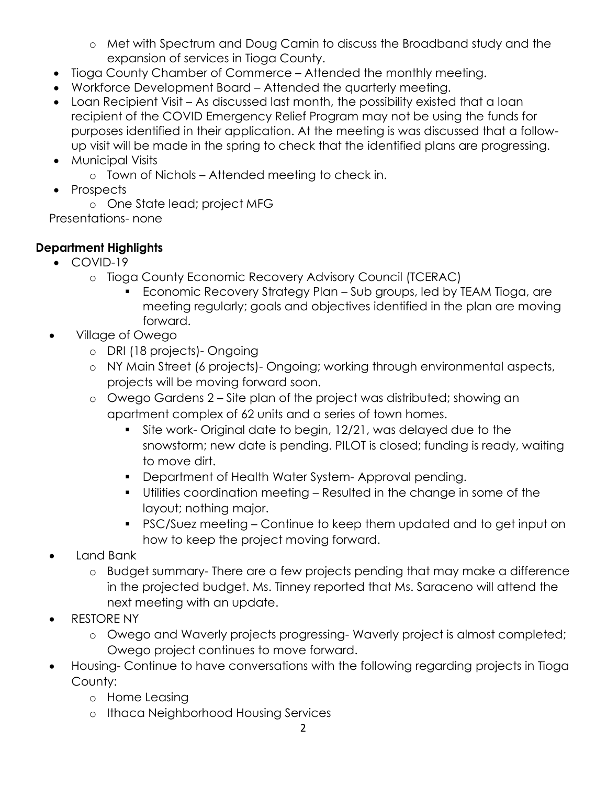- o Met with Spectrum and Doug Camin to discuss the Broadband study and the expansion of services in Tioga County.
- Tioga County Chamber of Commerce Attended the monthly meeting.
- Workforce Development Board Attended the quarterly meeting.
- Loan Recipient Visit As discussed last month, the possibility existed that a loan recipient of the COVID Emergency Relief Program may not be using the funds for purposes identified in their application. At the meeting is was discussed that a followup visit will be made in the spring to check that the identified plans are progressing.
- Municipal Visits
	- o Town of Nichols Attended meeting to check in.
- Prospects
	- o One State lead; project MFG

Presentations- none

# **Department Highlights**

- COVID-19
	- o Tioga County Economic Recovery Advisory Council (TCERAC)
		- Economic Recovery Strategy Plan Sub groups, led by TEAM Tioga, are meeting regularly; goals and objectives identified in the plan are moving forward.
- Village of Owego
	- o DRI (18 projects)- Ongoing
	- o NY Main Street (6 projects)- Ongoing; working through environmental aspects, projects will be moving forward soon.
	- o Owego Gardens 2 Site plan of the project was distributed; showing an apartment complex of 62 units and a series of town homes.
		- Site work- Original date to begin, 12/21, was delayed due to the snowstorm; new date is pending. PILOT is closed; funding is ready, waiting to move dirt.
		- **Department of Health Water System- Approval pending.**
		- Utilities coordination meeting Resulted in the change in some of the layout; nothing major.
		- PSC/Suez meeting Continue to keep them updated and to get input on how to keep the project moving forward.
- Land Bank
	- o Budget summary- There are a few projects pending that may make a difference in the projected budget. Ms. Tinney reported that Ms. Saraceno will attend the next meeting with an update.
- RESTORE NY
	- o Owego and Waverly projects progressing- Waverly project is almost completed; Owego project continues to move forward.
- Housing- Continue to have conversations with the following regarding projects in Tioga County:
	- o Home Leasing
	- o Ithaca Neighborhood Housing Services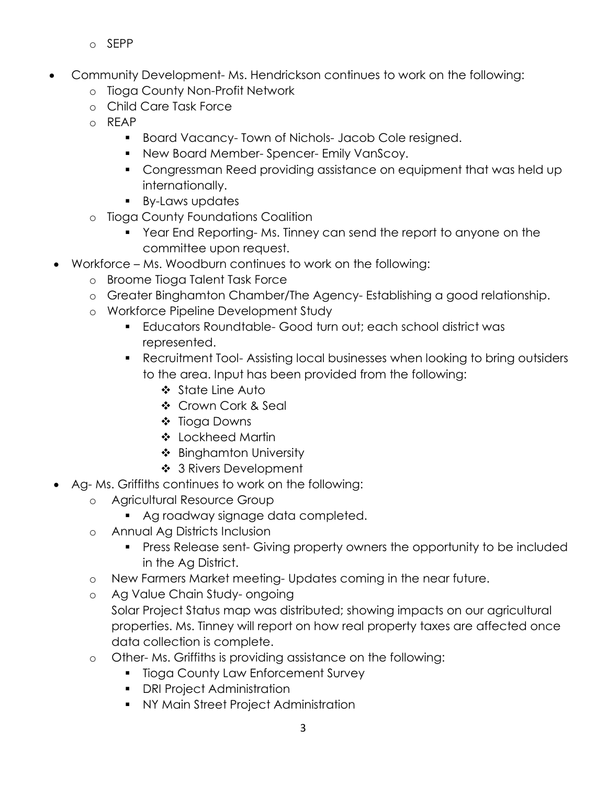- o SEPP
- Community Development- Ms. Hendrickson continues to work on the following:
	- o Tioga County Non-Profit Network
	- o Child Care Task Force
	- o REAP
		- **Board Vacancy- Town of Nichols- Jacob Cole resigned.**
		- **New Board Member-Spencer- Emily VanScoy.**
		- Congressman Reed providing assistance on equipment that was held up internationally.
		- **By-Laws updates**
	- o Tioga County Foundations Coalition
		- Year End Reporting- Ms. Tinney can send the report to anyone on the committee upon request.
- Workforce Ms. Woodburn continues to work on the following:
	- o Broome Tioga Talent Task Force
	- o Greater Binghamton Chamber/The Agency- Establishing a good relationship.
	- o Workforce Pipeline Development Study
		- Educators Roundtable- Good turn out; each school district was represented.
		- Recruitment Tool- Assisting local businesses when looking to bring outsiders to the area. Input has been provided from the following:
			- State Line Auto
			- ❖ Crown Cork & Seal
			- ❖ Tioga Downs
			- ❖ Lockheed Martin
			- ❖ Binghamton University
			- ❖ 3 Rivers Development
- Ag- Ms. Griffiths continues to work on the following:
	- o Agricultural Resource Group
		- Ag roadway signage data completed.
	- o Annual Ag Districts Inclusion
		- **Press Release sent- Giving property owners the opportunity to be included** in the Ag District.
	- o New Farmers Market meeting- Updates coming in the near future.
	- o Ag Value Chain Study- ongoing Solar Project Status map was distributed; showing impacts on our agricultural properties. Ms. Tinney will report on how real property taxes are affected once data collection is complete.
	- o Other- Ms. Griffiths is providing assistance on the following:
		- **Tioga County Law Enforcement Survey**
		- **•** DRI Project Administration
		- NY Main Street Project Administration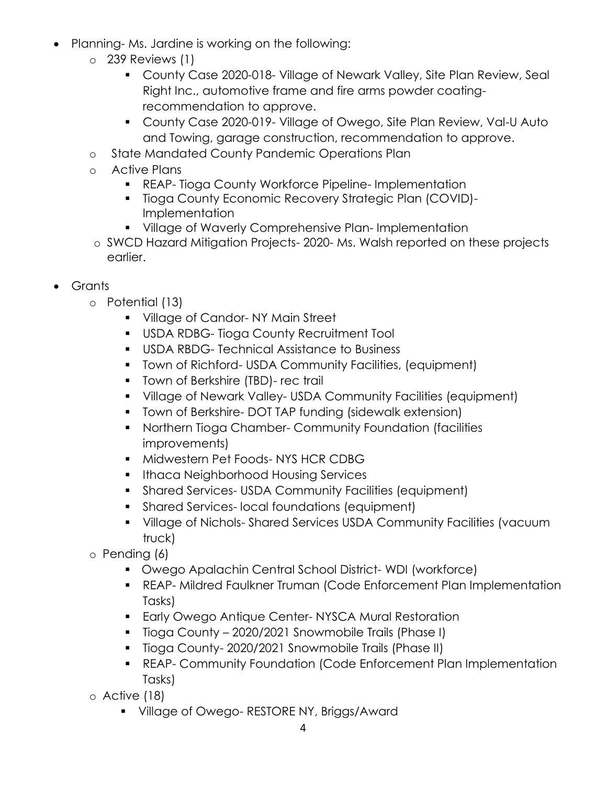- Planning- Ms. Jardine is working on the following:
	- o 239 Reviews (1)
		- County Case 2020-018- Village of Newark Valley, Site Plan Review, Seal Right Inc., automotive frame and fire arms powder coatingrecommendation to approve.
		- County Case 2020-019- Village of Owego, Site Plan Review, Val-U Auto and Towing, garage construction, recommendation to approve.
	- o State Mandated County Pandemic Operations Plan
	- o Active Plans
		- REAP- Tioga County Workforce Pipeline- Implementation
		- **Tioga County Economic Recovery Strategic Plan (COVID)-**Implementation
		- **Village of Waverly Comprehensive Plan- Implementation**
	- o SWCD Hazard Mitigation Projects- 2020- Ms. Walsh reported on these projects earlier.
- Grants
	- o Potential (13)
		- **Village of Candor-NY Main Street**
		- **USDA RDBG- Tioga County Recruitment Tool**
		- **USDA RBDG- Technical Assistance to Business**
		- Town of Richford- USDA Community Facilities, (equipment)
		- **The Town of Berkshire (TBD)- rec trail**
		- Village of Newark Valley- USDA Community Facilities (equipment)
		- **Town of Berkshire- DOT TAP funding (sidewalk extension)**
		- Northern Tioga Chamber- Community Foundation (facilities improvements)
		- **Midwestern Pet Foods-NYS HCR CDBG**
		- **Ithaca Neighborhood Housing Services**
		- Shared Services- USDA Community Facilities (equipment)
		- **Shared Services- local foundations (equipment)**
		- Village of Nichols- Shared Services USDA Community Facilities (vacuum truck)
	- o Pending (6)
		- Owego Apalachin Central School District- WDI (workforce)
		- REAP- Mildred Faulkner Truman (Code Enforcement Plan Implementation Tasks)
		- **Early Owego Antique Center- NYSCA Mural Restoration**
		- **Tioga County 2020/2021 Snowmobile Trails (Phase I)**
		- **Tioga County-2020/2021 Snowmobile Trails (Phase II)**
		- REAP- Community Foundation (Code Enforcement Plan Implementation Tasks)
	- o Active (18)
		- **Village of Owego- RESTORE NY, Briggs/Award**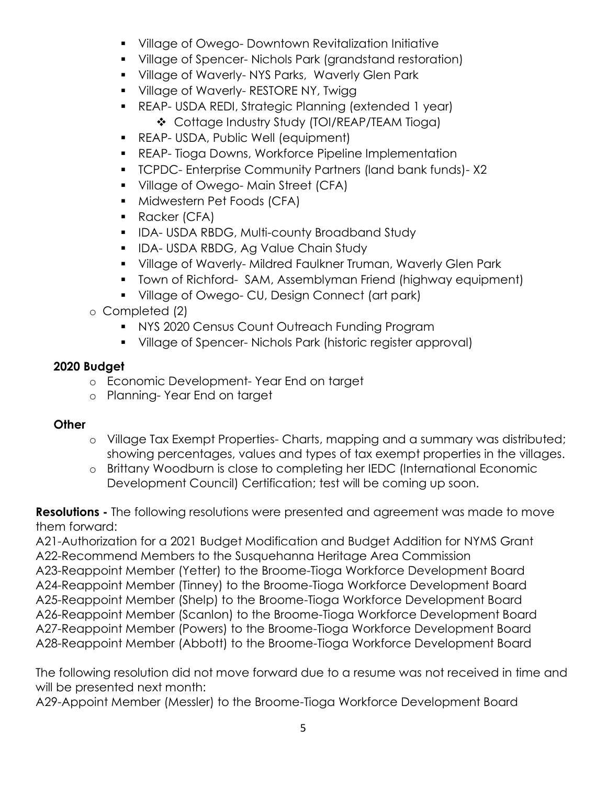- **Village of Owego- Downtown Revitalization Initiative**
- Village of Spencer- Nichols Park (grandstand restoration)
- **Village of Waverly-NYS Parks, Waverly Glen Park**
- **Village of Waverly- RESTORE NY, Twigg 1**
- REAP- USDA REDI, Strategic Planning (extended 1 year) Cottage Industry Study (TOI/REAP/TEAM Tioga)
- **REAP- USDA, Public Well (equipment)**
- **REAP- Tioga Downs, Workforce Pipeline Implementation**
- TCPDC- Enterprise Community Partners (land bank funds)- X2
- **Village of Owego- Main Street (CFA)**
- **Midwestern Pet Foods (CFA)**
- **Racker (CFA)**
- **IDA-USDA RBDG, Multi-county Broadband Study**
- **IDA- USDA RBDG, Ag Value Chain Study**
- **Village of Waverly- Mildred Faulkner Truman, Waverly Glen Park**
- Town of Richford- SAM, Assemblyman Friend (highway equipment)
- **Village of Owego- CU, Design Connect (art park)**
- o Completed (2)
	- **NYS 2020 Census Count Outreach Funding Program**
	- Village of Spencer- Nichols Park (historic register approval)

## **2020 Budget**

- o Economic Development- Year End on target
- o Planning- Year End on target

## **Other**

- o Village Tax Exempt Properties- Charts, mapping and a summary was distributed; showing percentages, values and types of tax exempt properties in the villages.
- o Brittany Woodburn is close to completing her IEDC (International Economic Development Council) Certification; test will be coming up soon.

**Resolutions -** The following resolutions were presented and agreement was made to move them forward:

A21-Authorization for a 2021 Budget Modification and Budget Addition for NYMS Grant A22-Recommend Members to the Susquehanna Heritage Area Commission A23-Reappoint Member (Yetter) to the Broome-Tioga Workforce Development Board A24-Reappoint Member (Tinney) to the Broome-Tioga Workforce Development Board A25-Reappoint Member (Shelp) to the Broome-Tioga Workforce Development Board A26-Reappoint Member (Scanlon) to the Broome-Tioga Workforce Development Board A27-Reappoint Member (Powers) to the Broome-Tioga Workforce Development Board

A28-Reappoint Member (Abbott) to the Broome-Tioga Workforce Development Board

The following resolution did not move forward due to a resume was not received in time and will be presented next month:

A29-Appoint Member (Messler) to the Broome-Tioga Workforce Development Board